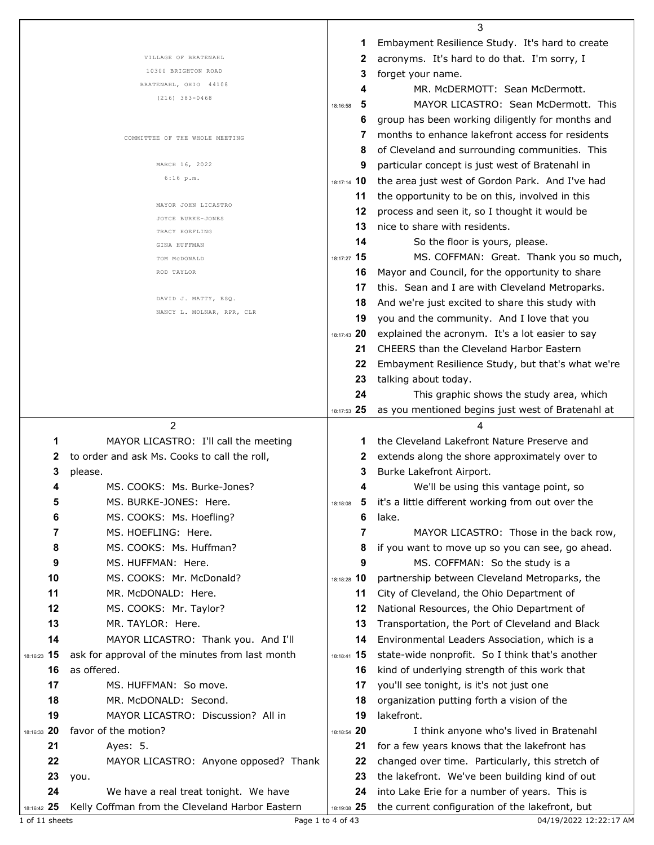|                   |                                                                                          |                   | 3                                                                                                |
|-------------------|------------------------------------------------------------------------------------------|-------------------|--------------------------------------------------------------------------------------------------|
|                   |                                                                                          | 1                 | Embayment Resilience Study. It's hard to create                                                  |
|                   | VILLAGE OF BRATENAHL                                                                     | 2                 | acronyms. It's hard to do that. I'm sorry, I                                                     |
|                   | 10300 BRIGHTON ROAD                                                                      | 3                 | forget your name.                                                                                |
|                   | BRATENAHL, OHIO 44108                                                                    | 4                 | MR. McDERMOTT: Sean McDermott.                                                                   |
|                   | $(216)$ 383-0468                                                                         | 5<br>18:16:58     | MAYOR LICASTRO: Sean McDermott. This                                                             |
|                   |                                                                                          | 6                 | group has been working diligently for months and                                                 |
|                   | COMMITTEE OF THE WHOLE MEETING                                                           | 7                 | months to enhance lakefront access for residents                                                 |
|                   |                                                                                          | 8                 | of Cleveland and surrounding communities. This                                                   |
|                   | MARCH 16, 2022                                                                           | 9                 | particular concept is just west of Bratenahl in                                                  |
|                   | $6:16$ p.m.                                                                              | 18:17:14 10       | the area just west of Gordon Park. And I've had                                                  |
|                   |                                                                                          | 11                | the opportunity to be on this, involved in this                                                  |
|                   | MAYOR JOHN LICASTRO                                                                      | 12                | process and seen it, so I thought it would be                                                    |
|                   | JOYCE BURKE-JONES<br>TRACY HOEFLING                                                      | 13                | nice to share with residents.                                                                    |
|                   | GINA HUFFMAN                                                                             | 14                | So the floor is yours, please.                                                                   |
|                   | TOM MCDONALD                                                                             | 18:17:27 15       | MS. COFFMAN: Great. Thank you so much,                                                           |
|                   | ROD TAYLOR                                                                               | 16                | Mayor and Council, for the opportunity to share                                                  |
|                   |                                                                                          | 17                | this. Sean and I are with Cleveland Metroparks.                                                  |
|                   | DAVID J. MATTY, ESQ.                                                                     | 18                | And we're just excited to share this study with                                                  |
|                   | NANCY L. MOLNAR, RPR, CLR                                                                | 19                | you and the community. And I love that you                                                       |
|                   |                                                                                          | 18:17:43 20       | explained the acronym. It's a lot easier to say                                                  |
|                   |                                                                                          | 21                | <b>CHEERS</b> than the Cleveland Harbor Eastern                                                  |
|                   |                                                                                          | 22                | Embayment Resilience Study, but that's what we're                                                |
|                   |                                                                                          | 23                | talking about today.                                                                             |
|                   |                                                                                          | 24                | This graphic shows the study area, which                                                         |
|                   |                                                                                          | 18:17:53 25       | as you mentioned begins just west of Bratenahl at                                                |
|                   |                                                                                          |                   |                                                                                                  |
|                   | 2                                                                                        |                   |                                                                                                  |
| 1                 | MAYOR LICASTRO: I'll call the meeting                                                    | 1                 | the Cleveland Lakefront Nature Preserve and                                                      |
| 2                 | to order and ask Ms. Cooks to call the roll,                                             | 2                 | extends along the shore approximately over to                                                    |
| 3                 | please.                                                                                  | 3                 | Burke Lakefront Airport.                                                                         |
| 4                 | MS. COOKS: Ms. Burke-Jones?                                                              | 4                 | We'll be using this vantage point, so                                                            |
| 5                 | MS. BURKE-JONES: Here.                                                                   | 5<br>18:18:08     | it's a little different working from out over the                                                |
| 6                 | MS. COOKS: Ms. Hoefling?                                                                 | 6                 | lake.                                                                                            |
| 7                 | MS. HOEFLING: Here.                                                                      | 7                 | MAYOR LICASTRO: Those in the back row,                                                           |
| 8                 | MS. COOKS: Ms. Huffman?                                                                  | 8                 | if you want to move up so you can see, go ahead.                                                 |
| 9                 | MS. HUFFMAN: Here.                                                                       | 9                 | MS. COFFMAN: So the study is a                                                                   |
| 10                | MS. COOKS: Mr. McDonald?                                                                 | 18:18:28 10       | partnership between Cleveland Metroparks, the                                                    |
| 11                | MR. McDONALD: Here.                                                                      | 11                | City of Cleveland, the Ohio Department of                                                        |
| 12                | MS. COOKS: Mr. Taylor?                                                                   | 12                | National Resources, the Ohio Department of                                                       |
| 13                | MR. TAYLOR: Here.                                                                        | 13                | Transportation, the Port of Cleveland and Black                                                  |
| 14                | MAYOR LICASTRO: Thank you. And I'll                                                      | 14                | Environmental Leaders Association, which is a                                                    |
| 18:16:23 15       | ask for approval of the minutes from last month                                          | 18:18:41 15       | state-wide nonprofit. So I think that's another                                                  |
| 16                | as offered.                                                                              | 16                | kind of underlying strength of this work that                                                    |
| 17                | MS. HUFFMAN: So move.                                                                    | 17                | you'll see tonight, is it's not just one                                                         |
| 18                | MR. McDONALD: Second.                                                                    | 18                | organization putting forth a vision of the                                                       |
| 19                | MAYOR LICASTRO: Discussion? All in                                                       | 19                | lakefront.                                                                                       |
| 18:16:33 20       | favor of the motion?                                                                     | 18:18:54 20       | I think anyone who's lived in Bratenahl                                                          |
| 21                | Ayes: 5.                                                                                 | 21                | for a few years knows that the lakefront has                                                     |
| 22                | MAYOR LICASTRO: Anyone opposed? Thank                                                    | 22                | changed over time. Particularly, this stretch of                                                 |
| 23                | you.                                                                                     | 23                | the lakefront. We've been building kind of out                                                   |
| 24<br>18:16:42 25 | We have a real treat tonight. We have<br>Kelly Coffman from the Cleveland Harbor Eastern | 24<br>18:19:08 25 | into Lake Erie for a number of years. This is<br>the current configuration of the lakefront, but |

Г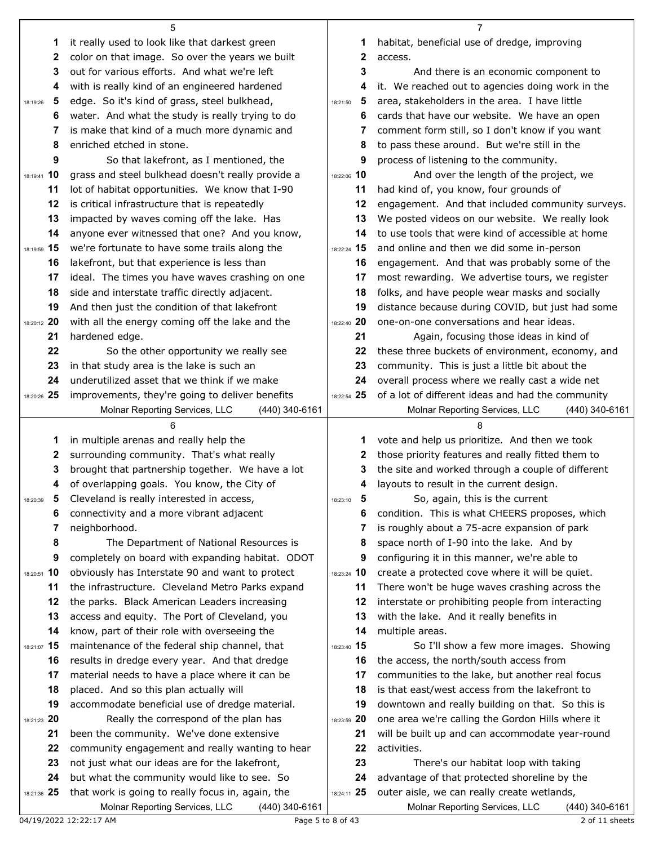|               | 5                                                                                   |                   | 7                                                                                                  |
|---------------|-------------------------------------------------------------------------------------|-------------------|----------------------------------------------------------------------------------------------------|
| 1             | it really used to look like that darkest green                                      | 1                 | habitat, beneficial use of dredge, improving                                                       |
| 2             | color on that image. So over the years we built                                     | 2                 | access.                                                                                            |
| 3             | out for various efforts. And what we're left                                        | 3                 | And there is an economic component to                                                              |
| 4             | with is really kind of an engineered hardened                                       | 4                 | it. We reached out to agencies doing work in the                                                   |
| 5<br>18:19:26 | edge. So it's kind of grass, steel bulkhead,                                        | 5<br>18:21:50     | area, stakeholders in the area. I have little                                                      |
| 6             | water. And what the study is really trying to do                                    | 6                 | cards that have our website. We have an open                                                       |
| 7             | is make that kind of a much more dynamic and                                        | 7                 | comment form still, so I don't know if you want                                                    |
| 8             | enriched etched in stone.                                                           | 8                 | to pass these around. But we're still in the                                                       |
| 9             | So that lakefront, as I mentioned, the                                              | 9                 | process of listening to the community.                                                             |
| 18:19:41 10   | grass and steel bulkhead doesn't really provide a                                   | 18:22:06 10       | And over the length of the project, we                                                             |
| 11            | lot of habitat opportunities. We know that I-90                                     | 11                | had kind of, you know, four grounds of                                                             |
| 12            | is critical infrastructure that is repeatedly                                       | 12                | engagement. And that included community surveys.                                                   |
| 13            | impacted by waves coming off the lake. Has                                          | 13                | We posted videos on our website. We really look                                                    |
| 14            | anyone ever witnessed that one? And you know,                                       | 14                | to use tools that were kind of accessible at home                                                  |
| 18:19:59 15   | we're fortunate to have some trails along the                                       | 18:22:24 15       | and online and then we did some in-person                                                          |
| 16            | lakefront, but that experience is less than                                         | 16                | engagement. And that was probably some of the                                                      |
| 17            | ideal. The times you have waves crashing on one                                     | 17                | most rewarding. We advertise tours, we register                                                    |
| 18            | side and interstate traffic directly adjacent.                                      | 18                | folks, and have people wear masks and socially                                                     |
| 19            | And then just the condition of that lakefront                                       | 19                | distance because during COVID, but just had some                                                   |
| 18:20:12 20   | with all the energy coming off the lake and the                                     | 18:22:40 20       | one-on-one conversations and hear ideas.                                                           |
| 21            | hardened edge.                                                                      | 21                | Again, focusing those ideas in kind of                                                             |
| 22            | So the other opportunity we really see                                              | 22                | these three buckets of environment, economy, and                                                   |
| 23            | in that study area is the lake is such an                                           | 23                | community. This is just a little bit about the                                                     |
| 24            | underutilized asset that we think if we make                                        | 24                | overall process where we really cast a wide net                                                    |
| 18:20:26 25   | improvements, they're going to deliver benefits                                     | 18:22:54 25       | of a lot of different ideas and had the community                                                  |
|               | Molnar Reporting Services, LLC<br>(440) 340-6161                                    |                   | Molnar Reporting Services, LLC<br>(440) 340-6161                                                   |
|               |                                                                                     |                   |                                                                                                    |
| 1             | in multiple arenas and really help the<br>surrounding community. That's what really | 1                 | vote and help us prioritize. And then we took<br>those priority features and really fitted them to |
| 2<br>3        | brought that partnership together. We have a lot                                    | 2<br>3            | the site and worked through a couple of different                                                  |
| 4             | of overlapping goals. You know, the City of                                         | 4                 | layouts to result in the current design.                                                           |
| 5.            | Cleveland is really interested in access,                                           | 5                 | So, again, this is the current                                                                     |
| 18:20:39<br>6 | connectivity and a more vibrant adjacent                                            | 18:23:10<br>6     | condition. This is what CHEERS proposes, which                                                     |
| 7             | neighborhood.                                                                       | 7                 | is roughly about a 75-acre expansion of park                                                       |
| 8             | The Department of National Resources is                                             | 8                 | space north of I-90 into the lake. And by                                                          |
| 9             | completely on board with expanding habitat. ODOT                                    | 9                 | configuring it in this manner, we're able to                                                       |
| 18:20:51 10   | obviously has Interstate 90 and want to protect                                     | 18:23:24 10       | create a protected cove where it will be quiet.                                                    |
| 11            | the infrastructure. Cleveland Metro Parks expand                                    | 11                | There won't be huge waves crashing across the                                                      |
| 12            | the parks. Black American Leaders increasing                                        | 12                | interstate or prohibiting people from interacting                                                  |
| 13            | access and equity. The Port of Cleveland, you                                       | 13                | with the lake. And it really benefits in                                                           |
| 14            | know, part of their role with overseeing the                                        | 14                | multiple areas.                                                                                    |
| 18:21:07 15   | maintenance of the federal ship channel, that                                       | 18:23:40 15       | So I'll show a few more images. Showing                                                            |
| 16            | results in dredge every year. And that dredge                                       | 16                | the access, the north/south access from                                                            |
| 17            | material needs to have a place where it can be                                      | 17                | communities to the lake, but another real focus                                                    |
| 18            | placed. And so this plan actually will                                              | 18                | is that east/west access from the lakefront to                                                     |
| 19            | accommodate beneficial use of dredge material.                                      | 19                | downtown and really building on that. So this is                                                   |
| 18:21:23 20   | Really the correspond of the plan has                                               | 18:23:59 20       | one area we're calling the Gordon Hills where it                                                   |
| 21            | been the community. We've done extensive                                            | 21                | will be built up and can accommodate year-round                                                    |
| 22            | community engagement and really wanting to hear                                     | 22                | activities.                                                                                        |
| 23            | not just what our ideas are for the lakefront,                                      | 23                | There's our habitat loop with taking                                                               |
| 24            | but what the community would like to see. So                                        | 24                | advantage of that protected shoreline by the                                                       |
| 18:21:36 25   | that work is going to really focus in, again, the                                   | 18:24:11 25       | outer aisle, we can really create wetlands,                                                        |
|               | Molnar Reporting Services, LLC<br>(440) 340-6161                                    |                   | Molnar Reporting Services, LLC<br>(440) 340-6161                                                   |
|               | 04/19/2022 12:22:17 AM                                                              | Page 5 to 8 of 43 | 2 of 11 sheets                                                                                     |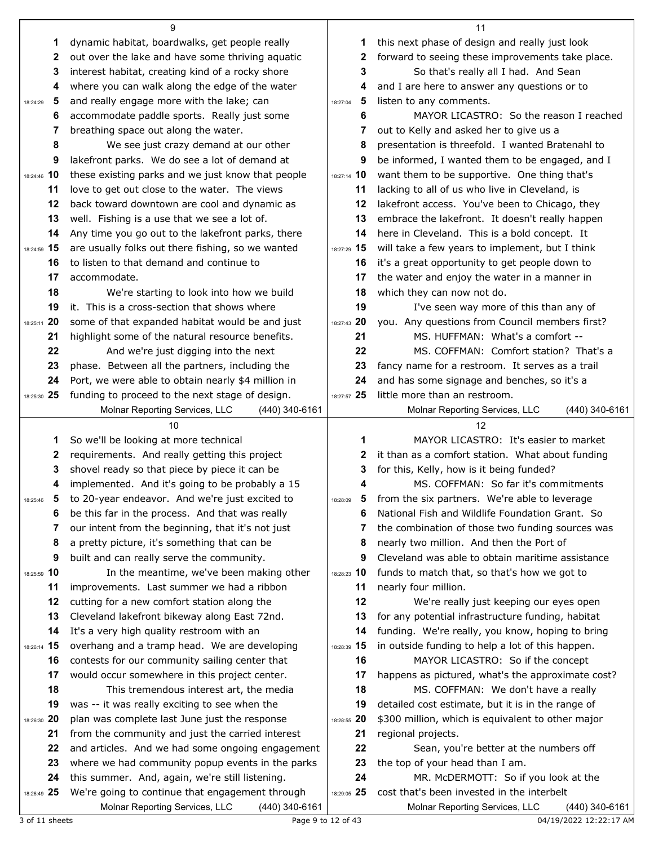|                   |                                                                                                     |                    | 11                                                                                       |
|-------------------|-----------------------------------------------------------------------------------------------------|--------------------|------------------------------------------------------------------------------------------|
| 1                 | dynamic habitat, boardwalks, get people really                                                      | 1                  | this next phase of design and really just look                                           |
| 2                 | out over the lake and have some thriving aquatic                                                    | 2                  | forward to seeing these improvements take place.                                         |
| 3                 | interest habitat, creating kind of a rocky shore                                                    | 3                  | So that's really all I had. And Sean                                                     |
| 4                 | where you can walk along the edge of the water                                                      | 4                  | and I are here to answer any questions or to                                             |
| 5<br>18:24:29     | and really engage more with the lake; can                                                           | 5<br>18:27:04      | listen to any comments.                                                                  |
| 6                 | accommodate paddle sports. Really just some                                                         | 6                  | MAYOR LICASTRO: So the reason I reached                                                  |
| 7                 | breathing space out along the water.                                                                | 7                  | out to Kelly and asked her to give us a                                                  |
| 8                 | We see just crazy demand at our other                                                               | 8                  | presentation is threefold. I wanted Bratenahl to                                         |
| 9                 | lakefront parks. We do see a lot of demand at                                                       | 9                  | be informed, I wanted them to be engaged, and I                                          |
| 18:24:46 10       | these existing parks and we just know that people                                                   | 18:27:14 10        | want them to be supportive. One thing that's                                             |
| 11                | love to get out close to the water. The views                                                       | 11                 | lacking to all of us who live in Cleveland, is                                           |
| 12                | back toward downtown are cool and dynamic as                                                        | 12                 | lakefront access. You've been to Chicago, they                                           |
| 13                | well. Fishing is a use that we see a lot of.                                                        | 13                 | embrace the lakefront. It doesn't really happen                                          |
| 14                | Any time you go out to the lakefront parks, there                                                   | 14                 | here in Cleveland. This is a bold concept. It                                            |
| 18:24:59 15       | are usually folks out there fishing, so we wanted                                                   | 18:27:29 15        | will take a few years to implement, but I think                                          |
| 16                | to listen to that demand and continue to                                                            | 16                 | it's a great opportunity to get people down to                                           |
| 17                | accommodate.                                                                                        | 17                 | the water and enjoy the water in a manner in                                             |
| 18                | We're starting to look into how we build<br>it. This is a cross-section that shows where            | 18<br>19           | which they can now not do.                                                               |
| 19<br>18:25:11 20 |                                                                                                     | 18:27:43 20        | I've seen way more of this than any of                                                   |
| 21                | some of that expanded habitat would be and just<br>highlight some of the natural resource benefits. | 21                 | you. Any questions from Council members first?<br>MS. HUFFMAN: What's a comfort --       |
| 22                | And we're just digging into the next                                                                | 22                 | MS. COFFMAN: Comfort station? That's a                                                   |
| 23                | phase. Between all the partners, including the                                                      | 23                 | fancy name for a restroom. It serves as a trail                                          |
| 24                | Port, we were able to obtain nearly \$4 million in                                                  | 24                 | and has some signage and benches, so it's a                                              |
| 18:25:30 25       | funding to proceed to the next stage of design.                                                     | 18:27:57 25        | little more than an restroom.                                                            |
|                   | Molnar Reporting Services, LLC<br>(440) 340-6161                                                    |                    | (440) 340-6161<br>Molnar Reporting Services, LLC                                         |
|                   |                                                                                                     |                    |                                                                                          |
|                   | 10                                                                                                  |                    | 12                                                                                       |
| 1                 | So we'll be looking at more technical                                                               | 1                  | MAYOR LICASTRO: It's easier to market                                                    |
| 2                 | requirements. And really getting this project                                                       | 2                  | it than as a comfort station. What about funding                                         |
| 3                 | shovel ready so that piece by piece it can be                                                       | 3                  | for this, Kelly, how is it being funded?                                                 |
| 4                 | implemented. And it's going to be probably a 15                                                     |                    | MS. COFFMAN: So far it's commitments                                                     |
| 5.<br>18:25:46    | to 20-year endeavor. And we're just excited to                                                      | 18:28:09           | from the six partners. We're able to leverage                                            |
| 6                 | be this far in the process. And that was really                                                     | 6                  | National Fish and Wildlife Foundation Grant. So                                          |
| 7                 | our intent from the beginning, that it's not just                                                   | 7                  | the combination of those two funding sources was                                         |
| 8                 | a pretty picture, it's something that can be                                                        | 8                  | nearly two million. And then the Port of                                                 |
| 9                 | built and can really serve the community.                                                           | 9                  | Cleveland was able to obtain maritime assistance                                         |
| 18:25:59 10       | In the meantime, we've been making other                                                            | 18:28:23 10        | funds to match that, so that's how we got to                                             |
| 11                | improvements. Last summer we had a ribbon                                                           | 11                 | nearly four million.                                                                     |
| 12                | cutting for a new comfort station along the                                                         | 12                 | We're really just keeping our eyes open                                                  |
| 13                | Cleveland lakefront bikeway along East 72nd.                                                        | 13                 | for any potential infrastructure funding, habitat                                        |
| 14                | It's a very high quality restroom with an                                                           | 14                 | funding. We're really, you know, hoping to bring                                         |
| 18:26:14 15       | overhang and a tramp head. We are developing                                                        | 18:28:39 15        | in outside funding to help a lot of this happen.                                         |
| 16                | contests for our community sailing center that                                                      | 16                 | MAYOR LICASTRO: So if the concept                                                        |
| 17                | would occur somewhere in this project center.                                                       | 17                 | happens as pictured, what's the approximate cost?                                        |
| 18<br>19          | This tremendous interest art, the media<br>was -- it was really exciting to see when the            | 18<br>19           | MS. COFFMAN: We don't have a really<br>detailed cost estimate, but it is in the range of |
| 18:26:30 20       | plan was complete last June just the response                                                       | 18:28:55 20        | \$300 million, which is equivalent to other major                                        |
| 21                | from the community and just the carried interest                                                    | 21                 | regional projects.                                                                       |
| 22                | and articles. And we had some ongoing engagement                                                    | 22                 | Sean, you're better at the numbers off                                                   |
| 23                | where we had community popup events in the parks                                                    | 23                 | the top of your head than I am.                                                          |
| 24                | this summer. And, again, we're still listening.                                                     | 24                 | MR. McDERMOTT: So if you look at the                                                     |
| 18:26:49 25       | We're going to continue that engagement through                                                     | 18:29:05 25        | cost that's been invested in the interbelt                                               |
| 3 of 11 sheets    | Molnar Reporting Services, LLC<br>(440) 340-6161                                                    | Page 9 to 12 of 43 | Molnar Reporting Services, LLC<br>(440) 340-6161<br>04/19/2022 12:22:17 AM               |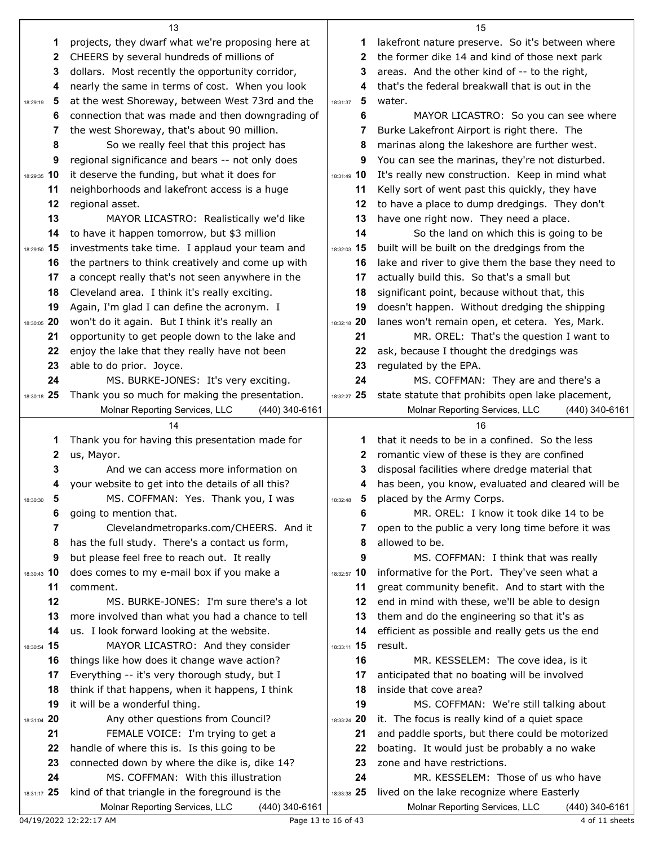|               | 13                                                                                                 |               | 15                                                                                             |
|---------------|----------------------------------------------------------------------------------------------------|---------------|------------------------------------------------------------------------------------------------|
| 1             | projects, they dwarf what we're proposing here at                                                  | 1             | lakefront nature preserve. So it's between where                                               |
| 2             | CHEERS by several hundreds of millions of                                                          | 2             | the former dike 14 and kind of those next park                                                 |
| 3             | dollars. Most recently the opportunity corridor,                                                   | 3             | areas. And the other kind of -- to the right,                                                  |
| 4             | nearly the same in terms of cost. When you look                                                    | 4             | that's the federal breakwall that is out in the                                                |
| 5<br>18:29:19 | at the west Shoreway, between West 73rd and the                                                    | 5<br>18:31:37 | water.                                                                                         |
| 6             | connection that was made and then downgrading of                                                   | 6             | MAYOR LICASTRO: So you can see where                                                           |
| 7             | the west Shoreway, that's about 90 million.                                                        | 7             | Burke Lakefront Airport is right there. The                                                    |
| 8             | So we really feel that this project has                                                            | 8             | marinas along the lakeshore are further west.                                                  |
| 9             | regional significance and bears -- not only does                                                   | 9             | You can see the marinas, they're not disturbed.                                                |
| 18:29:35 10   | it deserve the funding, but what it does for                                                       | 18:31:49 10   | It's really new construction. Keep in mind what                                                |
| 11            | neighborhoods and lakefront access is a huge                                                       | 11            | Kelly sort of went past this quickly, they have                                                |
| 12            | regional asset.                                                                                    | 12            | to have a place to dump dredgings. They don't                                                  |
| 13            | MAYOR LICASTRO: Realistically we'd like                                                            | 13            | have one right now. They need a place.                                                         |
| 14            | to have it happen tomorrow, but \$3 million                                                        | 14            | So the land on which this is going to be                                                       |
| 18:29:50 15   | investments take time. I applaud your team and                                                     | 18:32:03 15   | built will be built on the dredgings from the                                                  |
| 16            | the partners to think creatively and come up with                                                  | 16            | lake and river to give them the base they need to                                              |
| 17            | a concept really that's not seen anywhere in the                                                   | 17            | actually build this. So that's a small but                                                     |
| 18            | Cleveland area. I think it's really exciting.                                                      | 18            | significant point, because without that, this                                                  |
| 19            | Again, I'm glad I can define the acronym. I                                                        | 19            | doesn't happen. Without dredging the shipping                                                  |
| 18:30:05 20   | won't do it again. But I think it's really an                                                      | 18:32:18 20   | lanes won't remain open, et cetera. Yes, Mark.                                                 |
| 21            | opportunity to get people down to the lake and                                                     | 21            | MR. OREL: That's the question I want to                                                        |
| 22            | enjoy the lake that they really have not been                                                      | 22            | ask, because I thought the dredgings was                                                       |
| 23            | able to do prior. Joyce.                                                                           | 23            | regulated by the EPA.                                                                          |
| 24            | MS. BURKE-JONES: It's very exciting.                                                               | 24            | MS. COFFMAN: They are and there's a                                                            |
| 18:30:18 25   | Thank you so much for making the presentation.                                                     | 18:32:27 25   | state statute that prohibits open lake placement,                                              |
|               | Molnar Reporting Services, LLC<br>(440) 340-6161                                                   |               | Molnar Reporting Services, LLC<br>$(440)$ 340-6161                                             |
|               |                                                                                                    |               |                                                                                                |
|               | 14                                                                                                 |               | 16                                                                                             |
| 1             | Thank you for having this presentation made for                                                    | 1.            | that it needs to be in a confined. So the less                                                 |
| 2             | us, Mayor.                                                                                         | $\mathbf{z}$  | romantic view of these is they are confined                                                    |
| 3             | And we can access more information on                                                              | 3             | disposal facilities where dredge material that                                                 |
| 4             | your website to get into the details of all this?                                                  | 4             | has been, you know, evaluated and cleared will be                                              |
| 5<br>18:30:30 | MS. COFFMAN: Yes. Thank you, I was                                                                 | 5<br>18:32:48 | placed by the Army Corps.                                                                      |
| 6             | going to mention that.                                                                             | 6             | MR. OREL: I know it took dike 14 to be                                                         |
| 7             | Clevelandmetroparks.com/CHEERS. And it                                                             |               | open to the public a very long time before it was                                              |
| 8             | has the full study. There's a contact us form,                                                     | 8             | allowed to be.                                                                                 |
| 9             | but please feel free to reach out. It really                                                       | 9             | MS. COFFMAN: I think that was really                                                           |
| 18:30:43 10   | does comes to my e-mail box if you make a                                                          | 18:32:57 10   | informative for the Port. They've seen what a                                                  |
| 11            | comment.                                                                                           | 11            | great community benefit. And to start with the                                                 |
| 12            | MS. BURKE-JONES: I'm sure there's a lot                                                            | 12            | end in mind with these, we'll be able to design                                                |
| 13            | more involved than what you had a chance to tell                                                   | 13            | them and do the engineering so that it's as                                                    |
| 14            | us. I look forward looking at the website.                                                         | 14            | efficient as possible and really gets us the end                                               |
| 18:30:54 15   | MAYOR LICASTRO: And they consider                                                                  | 18:33:11 15   | result.                                                                                        |
| 16            | things like how does it change wave action?                                                        | 16            | MR. KESSELEM: The cove idea, is it                                                             |
| 17            | Everything -- it's very thorough study, but I                                                      | 17            | anticipated that no boating will be involved                                                   |
| 18            | think if that happens, when it happens, I think                                                    | 18            | inside that cove area?                                                                         |
| 19            | it will be a wonderful thing.                                                                      | 19            | MS. COFFMAN: We're still talking about                                                         |
| 18:31:04 20   | Any other questions from Council?                                                                  | 18:33:24 20   | it. The focus is really kind of a quiet space                                                  |
| 21            | FEMALE VOICE: I'm trying to get a                                                                  | 21            | and paddle sports, but there could be motorized                                                |
| 22            | handle of where this is. Is this going to be                                                       | 22            | boating. It would just be probably a no wake                                                   |
| 23            | connected down by where the dike is, dike 14?                                                      | 23            | zone and have restrictions.                                                                    |
| 24            | MS. COFFMAN: With this illustration                                                                | 24            | MR. KESSELEM: Those of us who have                                                             |
| 18:31:17 25   | kind of that triangle in the foreground is the<br>Molnar Reporting Services, LLC<br>(440) 340-6161 | 18:33:38 25   | lived on the lake recognize where Easterly<br>Molnar Reporting Services, LLC<br>(440) 340-6161 |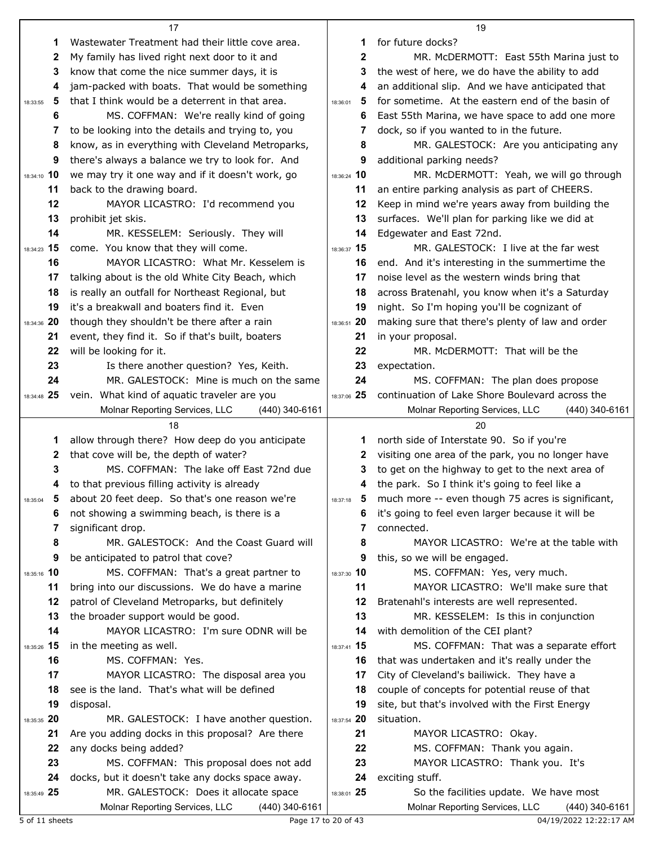|                | 17                                                                                     |                | 19                                                                                         |
|----------------|----------------------------------------------------------------------------------------|----------------|--------------------------------------------------------------------------------------------|
| 1              | Wastewater Treatment had their little cove area.                                       | 1              | for future docks?                                                                          |
| 2              | My family has lived right next door to it and                                          | 2              | MR. McDERMOTT: East 55th Marina just to                                                    |
| 3              | know that come the nice summer days, it is                                             | 3              | the west of here, we do have the ability to add                                            |
| 4              | jam-packed with boats. That would be something                                         | 4              | an additional slip. And we have anticipated that                                           |
| 5<br>18:33:55  | that I think would be a deterrent in that area.                                        | 5<br>18:36:01  | for sometime. At the eastern end of the basin of                                           |
| 6              | MS. COFFMAN: We're really kind of going                                                | 6              | East 55th Marina, we have space to add one more                                            |
| 7              | to be looking into the details and trying to, you                                      | 7              | dock, so if you wanted to in the future.                                                   |
| 8              | know, as in everything with Cleveland Metroparks,                                      | 8              | MR. GALESTOCK: Are you anticipating any                                                    |
| 9              | there's always a balance we try to look for. And                                       | 9              | additional parking needs?                                                                  |
| 18:34:10 10    | we may try it one way and if it doesn't work, go                                       | 18:36:24 10    | MR. McDERMOTT: Yeah, we will go through                                                    |
| 11             | back to the drawing board.                                                             | 11             | an entire parking analysis as part of CHEERS.                                              |
| 12             | MAYOR LICASTRO: I'd recommend you                                                      | 12             | Keep in mind we're years away from building the                                            |
| 13             | prohibit jet skis.                                                                     | 13             | surfaces. We'll plan for parking like we did at                                            |
| 14             | MR. KESSELEM: Seriously. They will                                                     | 14             | Edgewater and East 72nd.                                                                   |
| 18:34:23 15    | come. You know that they will come.                                                    | 18:36:37 15    | MR. GALESTOCK: I live at the far west                                                      |
| 16             | MAYOR LICASTRO: What Mr. Kesselem is                                                   | 16             | end. And it's interesting in the summertime the                                            |
| 17             | talking about is the old White City Beach, which                                       | 17             | noise level as the western winds bring that                                                |
| 18             | is really an outfall for Northeast Regional, but                                       | 18             | across Bratenahl, you know when it's a Saturday                                            |
| 19             | it's a breakwall and boaters find it. Even                                             | 19             | night. So I'm hoping you'll be cognizant of                                                |
| 18:34:36 20    | though they shouldn't be there after a rain                                            | 18:36:51 20    | making sure that there's plenty of law and order                                           |
| 21             | event, they find it. So if that's built, boaters                                       | 21             | in your proposal.                                                                          |
| 22             | will be looking for it.                                                                | 22             | MR. McDERMOTT: That will be the                                                            |
| 23             | Is there another question? Yes, Keith.                                                 | 23             | expectation.                                                                               |
| 24             | MR. GALESTOCK: Mine is much on the same                                                | 24             | MS. COFFMAN: The plan does propose                                                         |
| 18:34:48 25    | vein. What kind of aquatic traveler are you                                            | 18:37:06 25    | continuation of Lake Shore Boulevard across the                                            |
|                | Molnar Reporting Services, LLC<br>$(440)$ 340-6161                                     |                | Molnar Reporting Services, LLC<br>(440) 340-6161                                           |
|                |                                                                                        |                |                                                                                            |
|                | 18                                                                                     |                | 20                                                                                         |
| 1              | allow through there? How deep do you anticipate                                        | 1              | north side of Interstate 90. So if you're                                                  |
| 2              | that cove will be, the depth of water?                                                 | 2              | visiting one area of the park, you no longer have                                          |
| 3              | MS. COFFMAN: The lake off East 72nd due                                                | 3              | to get on the highway to get to the next area of                                           |
| 4              | to that previous filling activity is already                                           | 4              | the park. So I think it's going to feel like a                                             |
| 18:35:04       | 5 about 20 feet deep. So that's one reason we're                                       | 5.<br>18:37:18 | much more -- even though 75 acres is significant,                                          |
| 6              | not showing a swimming beach, is there is a                                            | 6              | it's going to feel even larger because it will be                                          |
| 7              | significant drop.                                                                      | 7              | connected.                                                                                 |
| 8              | MR. GALESTOCK: And the Coast Guard will                                                | 8              | MAYOR LICASTRO: We're at the table with                                                    |
| 9              | be anticipated to patrol that cove?                                                    | 9              | this, so we will be engaged.                                                               |
| 18:35:16 10    | MS. COFFMAN: That's a great partner to                                                 | 18:37:30 10    | MS. COFFMAN: Yes, very much.                                                               |
| 11             | bring into our discussions. We do have a marine                                        | 11             | MAYOR LICASTRO: We'll make sure that                                                       |
| 12             | patrol of Cleveland Metroparks, but definitely                                         | 12             | Bratenahl's interests are well represented.                                                |
| 13             | the broader support would be good.                                                     | 13             | MR. KESSELEM: Is this in conjunction                                                       |
| 14             | MAYOR LICASTRO: I'm sure ODNR will be                                                  | 14             | with demolition of the CEI plant?                                                          |
| 15<br>18:35:26 | in the meeting as well.                                                                | 18:37:41 15    | MS. COFFMAN: That was a separate effort                                                    |
| 16             | MS. COFFMAN: Yes.                                                                      | 16             | that was undertaken and it's really under the                                              |
| 17             | MAYOR LICASTRO: The disposal area you                                                  | 17             | City of Cleveland's bailiwick. They have a                                                 |
| 18             | see is the land. That's what will be defined                                           | 18             | couple of concepts for potential reuse of that                                             |
| 19             | disposal.                                                                              | 19             | site, but that's involved with the First Energy                                            |
| 18:35:35 20    | MR. GALESTOCK: I have another question.                                                | 18:37:54 20    | situation.                                                                                 |
| 21             | Are you adding docks in this proposal? Are there                                       | 21             | MAYOR LICASTRO: Okay.                                                                      |
| 22             | any docks being added?                                                                 | 22             | MS. COFFMAN: Thank you again.                                                              |
| 23             | MS. COFFMAN: This proposal does not add                                                | 23             | MAYOR LICASTRO: Thank you. It's                                                            |
| 24             | docks, but it doesn't take any docks space away.                                       | 24             | exciting stuff.                                                                            |
| 18:35:49 25    | MR. GALESTOCK: Does it allocate space<br>Molnar Reporting Services, LLC (440) 340-6161 | 18:38:01 25    | So the facilities update. We have most<br>Molnar Reporting Services, LLC<br>(440) 340-6161 |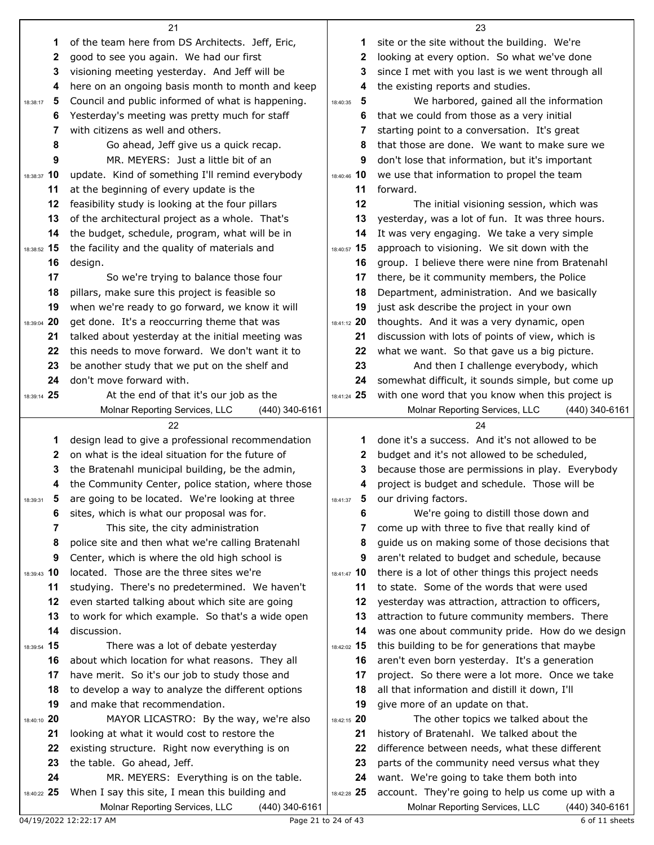|                | 21                                                 |               | 23                                                |
|----------------|----------------------------------------------------|---------------|---------------------------------------------------|
| 1              | of the team here from DS Architects. Jeff, Eric,   | 1.            | site or the site without the building. We're      |
| 2              | good to see you again. We had our first            | 2             | looking at every option. So what we've done       |
| 3              | visioning meeting yesterday. And Jeff will be      | 3             | since I met with you last is we went through all  |
| 4              | here on an ongoing basis month to month and keep   | 4             | the existing reports and studies.                 |
| 5<br>18:38:17  | Council and public informed of what is happening.  | 5<br>18:40:35 | We harbored, gained all the information           |
| 6              | Yesterday's meeting was pretty much for staff      | 6             | that we could from those as a very initial        |
| 7              | with citizens as well and others.                  | 7             | starting point to a conversation. It's great      |
| 8              | Go ahead, Jeff give us a quick recap.              | 8             | that those are done. We want to make sure we      |
| 9              | MR. MEYERS: Just a little bit of an                | 9             | don't lose that information, but it's important   |
| 18:38:37 10    | update. Kind of something I'll remind everybody    | 18:40:46 10   | we use that information to propel the team        |
| 11             | at the beginning of every update is the            | 11            | forward.                                          |
| 12             | feasibility study is looking at the four pillars   | 12            | The initial visioning session, which was          |
| 13             | of the architectural project as a whole. That's    | 13            | yesterday, was a lot of fun. It was three hours.  |
| 14             | the budget, schedule, program, what will be in     | 14            | It was very engaging. We take a very simple       |
| 18:38:52 15    | the facility and the quality of materials and      | 18:40:57 15   | approach to visioning. We sit down with the       |
| 16             | design.                                            | 16            | group. I believe there were nine from Bratenahl   |
| 17             | So we're trying to balance those four              | 17            | there, be it community members, the Police        |
| 18             | pillars, make sure this project is feasible so     | 18            | Department, administration. And we basically      |
| 19             | when we're ready to go forward, we know it will    | 19            | just ask describe the project in your own         |
| 18:39:04 20    | get done. It's a reoccurring theme that was        | 18:41:12 20   | thoughts. And it was a very dynamic, open         |
| 21             | talked about yesterday at the initial meeting was  | 21            | discussion with lots of points of view, which is  |
| 22             | this needs to move forward. We don't want it to    | 22            | what we want. So that gave us a big picture.      |
| 23             | be another study that we put on the shelf and      | 23            | And then I challenge everybody, which             |
| 24             | don't move forward with.                           | 24            | somewhat difficult, it sounds simple, but come up |
| 18:39:14 25    | At the end of that it's our job as the             | 18:41:24 25   | with one word that you know when this project is  |
|                | Molnar Reporting Services, LLC<br>$(440)$ 340-6161 |               | Molnar Reporting Services, LLC<br>(440) 340-6161  |
|                |                                                    |               |                                                   |
|                | 22                                                 |               | 24                                                |
| 1              | design lead to give a professional recommendation  | 1.            | done it's a success. And it's not allowed to be   |
| 2              | on what is the ideal situation for the future of   | 2             | budget and it's not allowed to be scheduled,      |
| 3              | the Bratenahl municipal building, be the admin,    | 3             | because those are permissions in play. Everybody  |
| 4              | the Community Center, police station, where those  | 4             | project is budget and schedule. Those will be     |
| 18:39:31       | 5 are going to be located. We're looking at three  | 18:41:37      | 5 our driving factors.                            |
| 6              | sites, which is what our proposal was for.         | 6             | We're going to distill those down and             |
| 7              | This site, the city administration                 | 7             | come up with three to five that really kind of    |
| 8              | police site and then what we're calling Bratenahl  | 8             | guide us on making some of those decisions that   |
| 9              | Center, which is where the old high school is      | 9             | aren't related to budget and schedule, because    |
| 18:39:43 10    | located. Those are the three sites we're           | $18:41:47$ 10 | there is a lot of other things this project needs |
| 11             | studying. There's no predetermined. We haven't     | 11            | to state. Some of the words that were used        |
| 12             | even started talking about which site are going    | 12            | yesterday was attraction, attraction to officers, |
| 13             | to work for which example. So that's a wide open   | 13            | attraction to future community members. There     |
| 14             | discussion.                                        | 14            | was one about community pride. How do we design   |
| 15<br>18:39:54 | There was a lot of debate yesterday                | 18:42:02 15   | this building to be for generations that maybe    |
| 16             | about which location for what reasons. They all    | 16            | aren't even born yesterday. It's a generation     |
| 17             | have merit. So it's our job to study those and     | 17            | project. So there were a lot more. Once we take   |
| 18             | to develop a way to analyze the different options  | 18            | all that information and distill it down, I'll    |
| 19             | and make that recommendation.                      | 19            | give more of an update on that.                   |
| 18:40:10 20    | MAYOR LICASTRO: By the way, we're also             | 18:42:15 20   | The other topics we talked about the              |
| 21             | looking at what it would cost to restore the       | 21            | history of Bratenahl. We talked about the         |
| 22             | existing structure. Right now everything is on     | 22            | difference between needs, what these different    |
| 23             | the table. Go ahead, Jeff.                         | 23            | parts of the community need versus what they      |
| 24             | MR. MEYERS: Everything is on the table.            | 24            | want. We're going to take them both into          |
| 18:40:22 25    | When I say this site, I mean this building and     | 18:42:28 25   | account. They're going to help us come up with a  |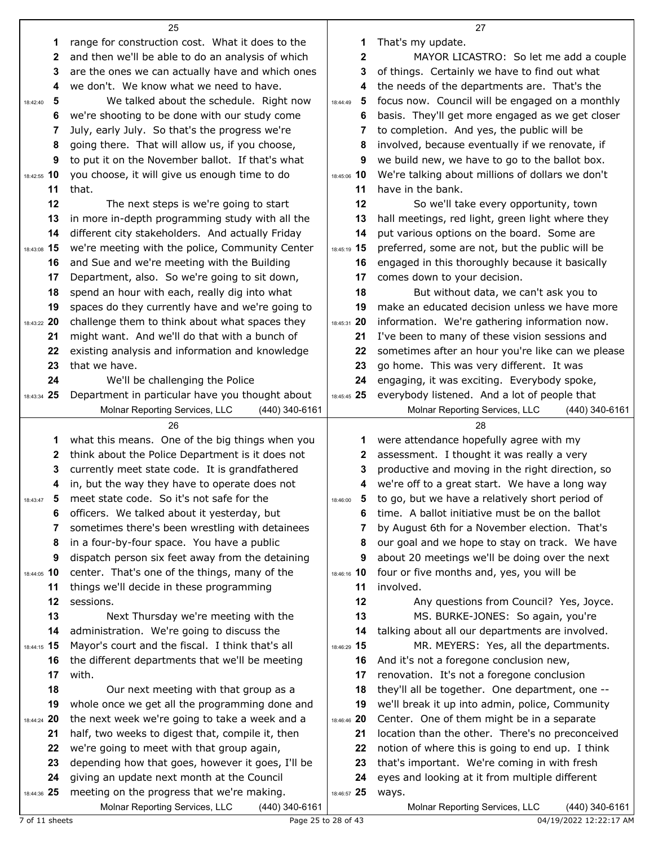|                   | 25                                                                                               |                   | 27                                                                               |
|-------------------|--------------------------------------------------------------------------------------------------|-------------------|----------------------------------------------------------------------------------|
| 1                 | range for construction cost. What it does to the                                                 | 1                 | That's my update.                                                                |
| $\mathbf{2}$      | and then we'll be able to do an analysis of which                                                | $\mathbf{2}$      | MAYOR LICASTRO: So let me add a couple                                           |
| 3                 | are the ones we can actually have and which ones                                                 | 3                 | of things. Certainly we have to find out what                                    |
| 4                 | we don't. We know what we need to have.                                                          | 4                 | the needs of the departments are. That's the                                     |
| 5<br>18:42:40     | We talked about the schedule. Right now                                                          | 5<br>18:44:49     | focus now. Council will be engaged on a monthly                                  |
| 6                 | we're shooting to be done with our study come                                                    | 6                 | basis. They'll get more engaged as we get closer                                 |
| 7                 | July, early July. So that's the progress we're                                                   | 7                 | to completion. And yes, the public will be                                       |
| 8                 | going there. That will allow us, if you choose,                                                  | 8                 | involved, because eventually if we renovate, if                                  |
| 9                 | to put it on the November ballot. If that's what                                                 | 9                 | we build new, we have to go to the ballot box.                                   |
| 18:42:55 10       | you choose, it will give us enough time to do                                                    | 18:45:06 10       | We're talking about millions of dollars we don't                                 |
| 11                | that.                                                                                            | 11                | have in the bank.                                                                |
| 12                | The next steps is we're going to start                                                           | 12                | So we'll take every opportunity, town                                            |
| 13                | in more in-depth programming study with all the                                                  | 13                | hall meetings, red light, green light where they                                 |
| 14                | different city stakeholders. And actually Friday                                                 | 14                | put various options on the board. Some are                                       |
| 18:43:08 15       | we're meeting with the police, Community Center                                                  | 18:45:19 15       | preferred, some are not, but the public will be                                  |
| 16                | and Sue and we're meeting with the Building<br>Department, also. So we're going to sit down,     | 16                | engaged in this thoroughly because it basically<br>comes down to your decision.  |
| 17<br>18          | spend an hour with each, really dig into what                                                    | 17<br>18          | But without data, we can't ask you to                                            |
| 19                | spaces do they currently have and we're going to                                                 | 19                | make an educated decision unless we have more                                    |
| 18:43:22 20       | challenge them to think about what spaces they                                                   | 18:45:31 20       | information. We're gathering information now.                                    |
| 21                | might want. And we'll do that with a bunch of                                                    | 21                | I've been to many of these vision sessions and                                   |
| 22                | existing analysis and information and knowledge                                                  | 22                | sometimes after an hour you're like can we please                                |
| 23                | that we have.                                                                                    | 23                | go home. This was very different. It was                                         |
| 24                | We'll be challenging the Police                                                                  | 24                | engaging, it was exciting. Everybody spoke,                                      |
| 18:43:34 25       | Department in particular have you thought about                                                  | 18:45:45 25       | everybody listened. And a lot of people that                                     |
|                   | Molnar Reporting Services, LLC<br>(440) 340-6161                                                 |                   | Molnar Reporting Services, LLC<br>$(440)$ 340-6161                               |
|                   |                                                                                                  |                   |                                                                                  |
|                   | 26                                                                                               |                   | 28                                                                               |
| 1                 | what this means. One of the big things when you                                                  | 1                 | were attendance hopefully agree with my                                          |
| 2                 | think about the Police Department is it does not                                                 | 2                 | assessment. I thought it was really a very                                       |
| 3                 | currently meet state code. It is grandfathered                                                   | 3                 | productive and moving in the right direction, so                                 |
| 4                 | in, but the way they have to operate does not                                                    | 4                 | we're off to a great start. We have a long way                                   |
| 5<br>18:43:47     | meet state code. So it's not safe for the                                                        | 5<br>18:46:00     | to go, but we have a relatively short period of                                  |
| 6                 | officers. We talked about it yesterday, but                                                      | 6                 | time. A ballot initiative must be on the ballot                                  |
| 7                 | sometimes there's been wrestling with detainees                                                  | 7                 | by August 6th for a November election. That's                                    |
| 8                 | in a four-by-four space. You have a public                                                       | 8                 | our goal and we hope to stay on track. We have                                   |
| 9                 | dispatch person six feet away from the detaining                                                 | 9                 | about 20 meetings we'll be doing over the next                                   |
| 18:44:05 10       | center. That's one of the things, many of the                                                    | 18:46:16 10       | four or five months and, yes, you will be                                        |
| 11                | things we'll decide in these programming                                                         | 11                | involved.                                                                        |
| 12                | sessions.                                                                                        | 12                | Any questions from Council? Yes, Joyce.                                          |
| 13                | Next Thursday we're meeting with the                                                             | 13                | MS. BURKE-JONES: So again, you're                                                |
| 14                | administration. We're going to discuss the                                                       | 14<br>18:46:29 15 | talking about all our departments are involved.                                  |
| 18:44:15 15<br>16 | Mayor's court and the fiscal. I think that's all                                                 | 16                | MR. MEYERS: Yes, all the departments.<br>And it's not a foregone conclusion new, |
| 17                | the different departments that we'll be meeting<br>with.                                         | 17                | renovation. It's not a foregone conclusion                                       |
| 18                | Our next meeting with that group as a                                                            | 18                | they'll all be together. One department, one --                                  |
| 19                | whole once we get all the programming done and                                                   | 19                | we'll break it up into admin, police, Community                                  |
| 18:44:24 20       | the next week we're going to take a week and a                                                   | 18:46:46 20       | Center. One of them might be in a separate                                       |
| 21                | half, two weeks to digest that, compile it, then                                                 | 21                | location than the other. There's no preconceived                                 |
| 22                | we're going to meet with that group again,                                                       | 22                | notion of where this is going to end up. I think                                 |
| 23                | depending how that goes, however it goes, I'll be                                                | 23                | that's important. We're coming in with fresh                                     |
| 24                | giving an update next month at the Council                                                       | 24                | eyes and looking at it from multiple different                                   |
| 18:44:36 25       | meeting on the progress that we're making.<br>Molnar Reporting Services, LLC<br>$(440)$ 340-6161 | 18:46:57 25       | ways.<br>Molnar Reporting Services, LLC<br>(440) 340-6161                        |

1.1.2.22:17 AM<br>
7 of 11 sheets Dage 25 to 28 of 43 04/19/2022 12:22:17 AM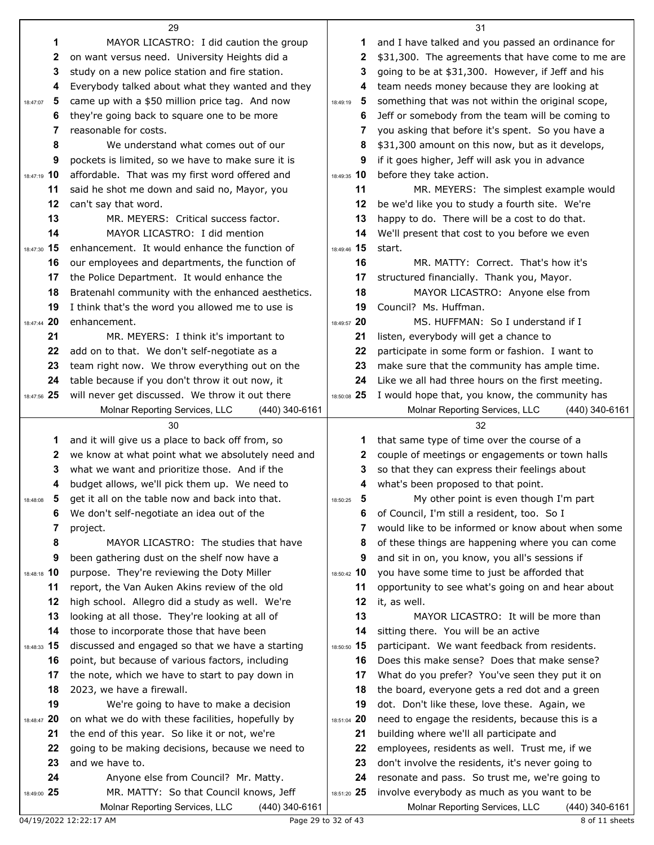|                   | 29                                                                  |                   | 31                                                                                             |
|-------------------|---------------------------------------------------------------------|-------------------|------------------------------------------------------------------------------------------------|
| 1                 | MAYOR LICASTRO: I did caution the group                             | 1                 | and I have talked and you passed an ordinance for                                              |
| 2                 | on want versus need. University Heights did a                       | 2                 | \$31,300. The agreements that have come to me are                                              |
| 3                 | study on a new police station and fire station.                     | 3                 | going to be at \$31,300. However, if Jeff and his                                              |
| 4                 | Everybody talked about what they wanted and they                    | 4                 | team needs money because they are looking at                                                   |
| 5<br>18:47:07     | came up with a \$50 million price tag. And now                      | 5<br>18:49:19     | something that was not within the original scope,                                              |
| 6                 | they're going back to square one to be more                         | 6                 | Jeff or somebody from the team will be coming to                                               |
| 7                 | reasonable for costs.                                               | 7                 | you asking that before it's spent. So you have a                                               |
| 8                 | We understand what comes out of our                                 | 8                 | \$31,300 amount on this now, but as it develops,                                               |
| 9                 | pockets is limited, so we have to make sure it is                   | 9                 | if it goes higher, Jeff will ask you in advance                                                |
| 18:47:19 10       | affordable. That was my first word offered and                      | 18:49:35 10       | before they take action.                                                                       |
| 11                | said he shot me down and said no, Mayor, you                        | 11                | MR. MEYERS: The simplest example would                                                         |
| 12                | can't say that word.                                                | 12                | be we'd like you to study a fourth site. We're                                                 |
| 13                | MR. MEYERS: Critical success factor.                                | 13                | happy to do. There will be a cost to do that.                                                  |
| 14                | MAYOR LICASTRO: I did mention                                       | 14                | We'll present that cost to you before we even                                                  |
| 18:47:30 15       | enhancement. It would enhance the function of                       | 18:49:46 15       | start.                                                                                         |
| 16                | our employees and departments, the function of                      | 16                | MR. MATTY: Correct. That's how it's                                                            |
| 17                | the Police Department. It would enhance the                         | 17                | structured financially. Thank you, Mayor.                                                      |
| 18                | Bratenahl community with the enhanced aesthetics.                   | 18                | MAYOR LICASTRO: Anyone else from                                                               |
| 19                | I think that's the word you allowed me to use is                    | 19                | Council? Ms. Huffman.                                                                          |
| 18:47:44 20       | enhancement.                                                        | 18:49:57 20       | MS. HUFFMAN: So I understand if I                                                              |
| 21                | MR. MEYERS: I think it's important to                               | 21                | listen, everybody will get a chance to                                                         |
| 22                | add on to that. We don't self-negotiate as a                        | 22                | participate in some form or fashion. I want to                                                 |
| 23                | team right now. We throw everything out on the                      | 23                | make sure that the community has ample time.                                                   |
| 24                | table because if you don't throw it out now, it                     | 24                | Like we all had three hours on the first meeting.                                              |
| 18:47:56 25       | will never get discussed. We throw it out there                     | 18:50:08 25       | I would hope that, you know, the community has                                                 |
|                   | Molnar Reporting Services, LLC<br>$(440)$ 340-6161                  |                   | Molnar Reporting Services, LLC<br>(440) 340-6161                                               |
|                   |                                                                     |                   |                                                                                                |
|                   | 30                                                                  |                   | 32                                                                                             |
| 1                 | and it will give us a place to back off from, so                    | 1                 | that same type of time over the course of a                                                    |
| 2                 | we know at what point what we absolutely need and                   | 2                 | couple of meetings or engagements or town halls                                                |
| 3                 | what we want and prioritize those. And if the                       | 3                 | so that they can express their feelings about                                                  |
| 4                 | budget allows, we'll pick them up. We need to                       | 4                 | what's been proposed to that point.                                                            |
| 18:48:08          | get it all on the table now and back into that.                     | 18:50:25          | My other point is even though I'm part                                                         |
| 6                 | We don't self-negotiate an idea out of the                          | 6                 | of Council, I'm still a resident, too. So I                                                    |
| 7                 | project.                                                            | 7                 | would like to be informed or know about when some                                              |
| 8                 | MAYOR LICASTRO: The studies that have                               | 8                 | of these things are happening where you can come                                               |
| 9                 | been gathering dust on the shelf now have a                         | 9                 | and sit in on, you know, you all's sessions if                                                 |
| 18:48:18 10       | purpose. They're reviewing the Doty Miller                          | 18:50:42 10       | you have some time to just be afforded that                                                    |
| 11                | report, the Van Auken Akins review of the old                       | 11                | opportunity to see what's going on and hear about                                              |
| 12                | high school. Allegro did a study as well. We're                     | 12                | it, as well.                                                                                   |
| 13<br>14          | looking at all those. They're looking at all of                     | 13<br>14          | MAYOR LICASTRO: It will be more than                                                           |
|                   | those to incorporate those that have been                           |                   | sitting there. You will be an active                                                           |
| 18:48:33 15<br>16 | discussed and engaged so that we have a starting                    | 18:50:50 15<br>16 | participant. We want feedback from residents.                                                  |
| 17                | point, but because of various factors, including                    | 17                | Does this make sense? Does that make sense?                                                    |
| 18                | the note, which we have to start to pay down in                     | 18                | What do you prefer? You've seen they put it on                                                 |
| 19                | 2023, we have a firewall.<br>We're going to have to make a decision | 19                | the board, everyone gets a red dot and a green<br>dot. Don't like these, love these. Again, we |
| 18:48:47 20       | on what we do with these facilities, hopefully by                   | 18:51:04 20       | need to engage the residents, because this is a                                                |
| 21                | the end of this year. So like it or not, we're                      | 21                | building where we'll all participate and                                                       |
| 22                | going to be making decisions, because we need to                    | 22                | employees, residents as well. Trust me, if we                                                  |
| 23                | and we have to.                                                     | 23                | don't involve the residents, it's never going to                                               |
| 24                | Anyone else from Council? Mr. Matty.                                | 24                | resonate and pass. So trust me, we're going to                                                 |
| 18:49:00 25       | MR. MATTY: So that Council knows, Jeff                              | 18:51:20 25       | involve everybody as much as you want to be                                                    |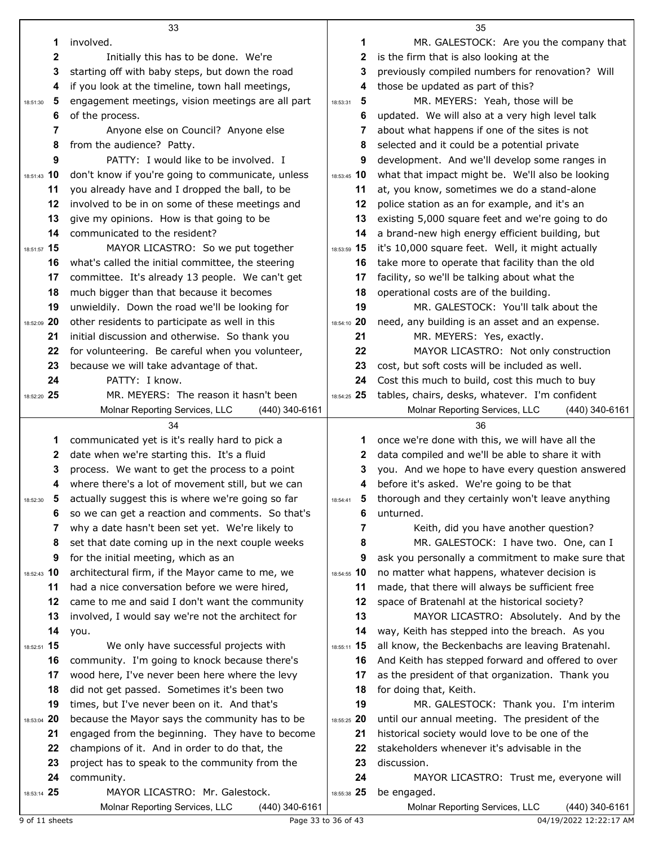|                   | 33                                                                                               |                   | 35                                                                                               |
|-------------------|--------------------------------------------------------------------------------------------------|-------------------|--------------------------------------------------------------------------------------------------|
| 1                 | involved.                                                                                        | 1                 | MR. GALESTOCK: Are you the company that                                                          |
| 2                 | Initially this has to be done. We're                                                             | 2                 | is the firm that is also looking at the                                                          |
| 3                 | starting off with baby steps, but down the road                                                  | 3                 | previously compiled numbers for renovation? Will                                                 |
| 4                 | if you look at the timeline, town hall meetings,                                                 | 4                 | those be updated as part of this?                                                                |
| 5<br>18:51:30     | engagement meetings, vision meetings are all part                                                | 5<br>18:53:31     | MR. MEYERS: Yeah, those will be                                                                  |
| 6                 | of the process.                                                                                  | 6                 | updated. We will also at a very high level talk                                                  |
| 7                 | Anyone else on Council? Anyone else                                                              | 7                 | about what happens if one of the sites is not                                                    |
| 8                 | from the audience? Patty.                                                                        | 8                 | selected and it could be a potential private                                                     |
| 9                 | PATTY: I would like to be involved. I                                                            | 9                 | development. And we'll develop some ranges in                                                    |
| 18:51:43 10       | don't know if you're going to communicate, unless                                                | 18:53:45 10       | what that impact might be. We'll also be looking                                                 |
| 11                | you already have and I dropped the ball, to be                                                   | 11                | at, you know, sometimes we do a stand-alone                                                      |
| 12                | involved to be in on some of these meetings and                                                  | 12                | police station as an for example, and it's an                                                    |
| 13                | give my opinions. How is that going to be                                                        | 13                | existing 5,000 square feet and we're going to do                                                 |
| 14                | communicated to the resident?                                                                    | 14                | a brand-new high energy efficient building, but                                                  |
| 18:51:57 15       | MAYOR LICASTRO: So we put together                                                               | 18:53:59 15       | it's 10,000 square feet. Well, it might actually                                                 |
| 16                | what's called the initial committee, the steering                                                | 16                | take more to operate that facility than the old                                                  |
| 17                | committee. It's already 13 people. We can't get                                                  | 17                | facility, so we'll be talking about what the                                                     |
| 18                | much bigger than that because it becomes                                                         | 18                | operational costs are of the building.                                                           |
| 19                | unwieldily. Down the road we'll be looking for                                                   | 19                | MR. GALESTOCK: You'll talk about the                                                             |
| 18:52:09 20       | other residents to participate as well in this                                                   | 18:54:10 20       | need, any building is an asset and an expense.                                                   |
| 21                | initial discussion and otherwise. So thank you                                                   | 21                | MR. MEYERS: Yes, exactly.                                                                        |
| 22                | for volunteering. Be careful when you volunteer,                                                 | 22                | MAYOR LICASTRO: Not only construction                                                            |
| 23                | because we will take advantage of that.                                                          | 23                | cost, but soft costs will be included as well.                                                   |
| 24                | PATTY: I know.                                                                                   | 24                | Cost this much to build, cost this much to buy                                                   |
| 18:52:20 25       | MR. MEYERS: The reason it hasn't been                                                            | 18:54:25 25       | tables, chairs, desks, whatever. I'm confident                                                   |
|                   | Molnar Reporting Services, LLC<br>(440) 340-6161                                                 |                   | Molnar Reporting Services, LLC<br>$(440)$ 340-6161                                               |
|                   |                                                                                                  |                   |                                                                                                  |
|                   | 34                                                                                               |                   | 36                                                                                               |
| 1                 | communicated yet is it's really hard to pick a                                                   | 1.                | once we're done with this, we will have all the                                                  |
| 2                 | date when we're starting this. It's a fluid                                                      | $\mathbf{2}$      | data compiled and we'll be able to share it with                                                 |
| 3                 | process. We want to get the process to a point                                                   | 3                 | you. And we hope to have every question answered                                                 |
| 4                 | where there's a lot of movement still, but we can                                                | 4                 | before it's asked. We're going to be that                                                        |
|                   | actually suggest this is where we're going so far                                                | 5.                | thorough and they certainly won't leave anything                                                 |
| 6                 | so we can get a reaction and comments. So that's                                                 | 6                 | unturned.                                                                                        |
| 7                 | why a date hasn't been set yet. We're likely to                                                  | 7                 | Keith, did you have another question?                                                            |
| 8                 | set that date coming up in the next couple weeks                                                 | 8                 | MR. GALESTOCK: I have two. One, can I                                                            |
| 9                 | for the initial meeting, which as an                                                             | 9                 | ask you personally a commitment to make sure that                                                |
| 18:52:43 10       | architectural firm, if the Mayor came to me, we                                                  | 18:54:55 10       | no matter what happens, whatever decision is                                                     |
| 11                | had a nice conversation before we were hired,                                                    | 11                | made, that there will always be sufficient free                                                  |
| 12                | came to me and said I don't want the community                                                   | 12                | space of Bratenahl at the historical society?                                                    |
| 13                | involved, I would say we're not the architect for                                                | 13                | MAYOR LICASTRO: Absolutely. And by the                                                           |
| 14                | you.                                                                                             | 14                | way, Keith has stepped into the breach. As you                                                   |
| 18:52:51 15       | We only have successful projects with                                                            | 18:55:11 15       | all know, the Beckenbachs are leaving Bratenahl.                                                 |
| 16                | community. I'm going to knock because there's                                                    | 16                | And Keith has stepped forward and offered to over                                                |
| 17                | wood here, I've never been here where the levy                                                   | 17                | as the president of that organization. Thank you                                                 |
| 18<br>19          | did not get passed. Sometimes it's been two                                                      | 18<br>19          | for doing that, Keith.                                                                           |
|                   | times, but I've never been on it. And that's                                                     |                   | MR. GALESTOCK: Thank you. I'm interim                                                            |
| 18:53:04 20<br>21 | because the Mayor says the community has to be                                                   | 18:55:25 20<br>21 | until our annual meeting. The president of the<br>historical society would love to be one of the |
| 22                | engaged from the beginning. They have to become<br>champions of it. And in order to do that, the | 22                | stakeholders whenever it's advisable in the                                                      |
| 23                | project has to speak to the community from the                                                   | 23                | discussion.                                                                                      |
| 24                | community.                                                                                       | 24                | MAYOR LICASTRO: Trust me, everyone will                                                          |
| 18:53:14 25       | MAYOR LICASTRO: Mr. Galestock.                                                                   | 18:55:38 25       | be engaged.                                                                                      |

9 of 11 sheets **Example 23** to 36 of 43 04/19/2022 12:22:17 AM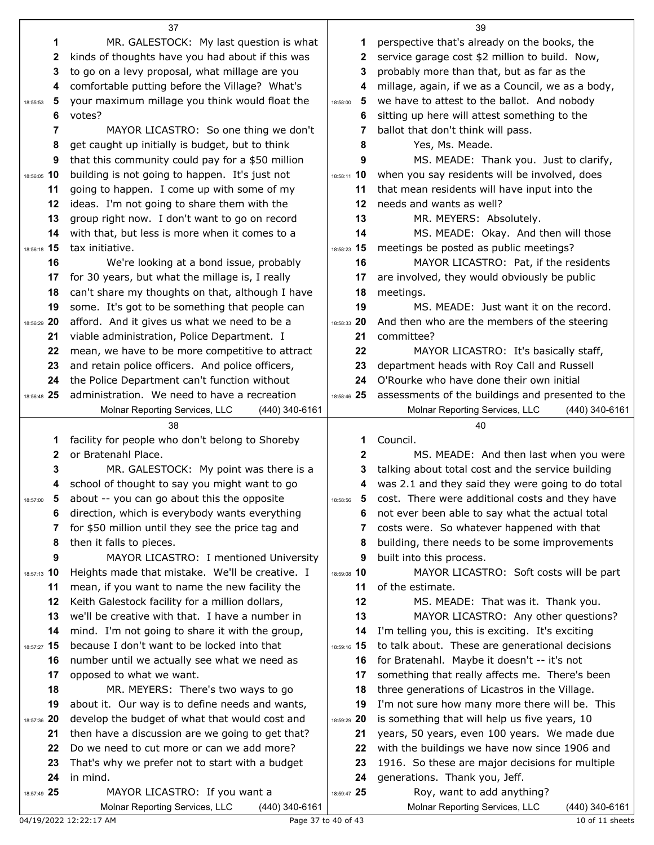|                | 37                                                                                | 39            |                                                                                |  |
|----------------|-----------------------------------------------------------------------------------|---------------|--------------------------------------------------------------------------------|--|
| 1              | MR. GALESTOCK: My last question is what                                           | 1             | perspective that's already on the books, the                                   |  |
| 2              | kinds of thoughts have you had about if this was                                  | 2             | service garage cost \$2 million to build. Now,                                 |  |
| 3              | to go on a levy proposal, what millage are you                                    | 3             | probably more than that, but as far as the                                     |  |
| 4              | comfortable putting before the Village? What's                                    | 4             | millage, again, if we as a Council, we as a body,                              |  |
| -5<br>18:55:53 | your maximum millage you think would float the                                    | 5<br>18:58:00 | we have to attest to the ballot. And nobody                                    |  |
| 6              | votes?                                                                            | 6             | sitting up here will attest something to the                                   |  |
| 7              | MAYOR LICASTRO: So one thing we don't                                             | 7             | ballot that don't think will pass.                                             |  |
| 8              | get caught up initially is budget, but to think                                   | 8             | Yes, Ms. Meade.                                                                |  |
| 9              | that this community could pay for a \$50 million                                  | 9             | MS. MEADE: Thank you. Just to clarify,                                         |  |
| 18:56:05 10    | building is not going to happen. It's just not                                    | 18:58:11 10   | when you say residents will be involved, does                                  |  |
| 11             | going to happen. I come up with some of my                                        | 11            | that mean residents will have input into the                                   |  |
| 12             | ideas. I'm not going to share them with the                                       | 12            | needs and wants as well?                                                       |  |
| 13             | group right now. I don't want to go on record                                     | 13            | MR. MEYERS: Absolutely.                                                        |  |
| 14             | with that, but less is more when it comes to a                                    | 14            | MS. MEADE: Okay. And then will those                                           |  |
| 18:56:18 15    | tax initiative.                                                                   | 18:58:23 15   | meetings be posted as public meetings?                                         |  |
| 16             | We're looking at a bond issue, probably                                           | 16            | MAYOR LICASTRO: Pat, if the residents                                          |  |
| 17             | for 30 years, but what the millage is, I really                                   | 17            | are involved, they would obviously be public                                   |  |
| 18             | can't share my thoughts on that, although I have                                  | 18            | meetings.                                                                      |  |
| 19             | some. It's got to be something that people can                                    | 19            | MS. MEADE: Just want it on the record.                                         |  |
| 18:56:29 20    | afford. And it gives us what we need to be a                                      | 18:58:33 20   | And then who are the members of the steering                                   |  |
| 21             | viable administration, Police Department. I                                       | 21            | committee?                                                                     |  |
| 22             | mean, we have to be more competitive to attract                                   | 22            | MAYOR LICASTRO: It's basically staff,                                          |  |
| 23             | and retain police officers. And police officers,                                  | 23            | department heads with Roy Call and Russell                                     |  |
| 24             | the Police Department can't function without                                      | 24            | O'Rourke who have done their own initial                                       |  |
| 18:56:48 25    | administration. We need to have a recreation                                      | 18:58:46 25   | assessments of the buildings and presented to the                              |  |
|                | Molnar Reporting Services, LLC<br>(440) 340-6161                                  |               | Molnar Reporting Services, LLC<br>$(440)$ 340-6161                             |  |
|                |                                                                                   |               |                                                                                |  |
|                | 38                                                                                |               | 40                                                                             |  |
| 1              | facility for people who don't belong to Shoreby                                   | 1             | Council.                                                                       |  |
| 2              | or Bratenahl Place.                                                               | $\mathbf{2}$  | MS. MEADE: And then last when you were                                         |  |
| 3              | MR. GALESTOCK: My point was there is a                                            | 3             | talking about total cost and the service building                              |  |
| 4              | school of thought to say you might want to go                                     | 4             | was 2.1 and they said they were going to do total                              |  |
| 18:57:00       | about -- you can go about this the opposite                                       | 18:58:56      | cost. There were additional costs and they have                                |  |
| 6              | direction, which is everybody wants everything                                    | 6             | not ever been able to say what the actual total                                |  |
| 7              | for \$50 million until they see the price tag and                                 | 7             | costs were. So whatever happened with that                                     |  |
| 8              | then it falls to pieces.                                                          | 8             | building, there needs to be some improvements                                  |  |
| 9              | MAYOR LICASTRO: I mentioned University                                            | 9             | built into this process.                                                       |  |
| 18:57:13 10    | Heights made that mistake. We'll be creative. I                                   | 18:59:08 10   | MAYOR LICASTRO: Soft costs will be part                                        |  |
| 11             | mean, if you want to name the new facility the                                    | 11            | of the estimate.                                                               |  |
| 12             | Keith Galestock facility for a million dollars,                                   | 12            | MS. MEADE: That was it. Thank you.                                             |  |
| 13             | we'll be creative with that. I have a number in                                   | 13            | MAYOR LICASTRO: Any other questions?                                           |  |
| 14             | mind. I'm not going to share it with the group,                                   | 14            | I'm telling you, this is exciting. It's exciting                               |  |
| 18:57:27 15    | because I don't want to be locked into that                                       | 18:59:16 15   | to talk about. These are generational decisions                                |  |
| 16             | number until we actually see what we need as                                      | 16            | for Bratenahl. Maybe it doesn't -- it's not                                    |  |
| 17             | opposed to what we want.                                                          | 17            | something that really affects me. There's been                                 |  |
| 18             | MR. MEYERS: There's two ways to go                                                | 18            | three generations of Licastros in the Village.                                 |  |
| 19             | about it. Our way is to define needs and wants,                                   | 19            | I'm not sure how many more there will be. This                                 |  |
| 18:57:36 20    | develop the budget of what that would cost and                                    | 18:59:29 20   | is something that will help us five years, 10                                  |  |
| 21             | then have a discussion are we going to get that?                                  | 21            | years, 50 years, even 100 years. We made due                                   |  |
| 22             | Do we need to cut more or can we add more?                                        | 22            | with the buildings we have now since 1906 and                                  |  |
| 23             | That's why we prefer not to start with a budget                                   | 23            | 1916. So these are major decisions for multiple                                |  |
| 24             | in mind.                                                                          | 24            | generations. Thank you, Jeff.                                                  |  |
| 18:57:49 25    | MAYOR LICASTRO: If you want a<br>Molnar Reporting Services, LLC<br>(440) 340-6161 | 18:59:47 25   | Roy, want to add anything?<br>Molnar Reporting Services, LLC<br>(440) 340-6161 |  |